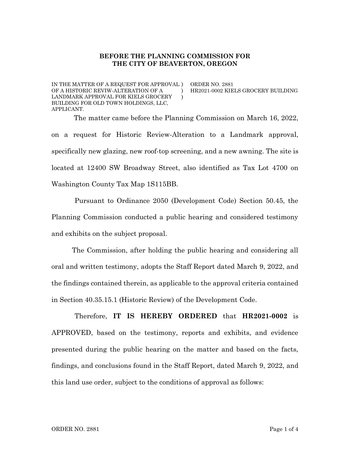## **BEFORE THE PLANNING COMMISSION FOR THE CITY OF BEAVERTON, OREGON**

IN THE MATTER OF A REQUEST FOR APPROVAL ) OF A HISTORIC REVIW-ALTERATION OF A LANDMARK APPROVAL FOR KIELS GROCERY BUILDING FOR OLD TOWN HOLDINGS, LLC, APPLICANT. )  $\lambda$  ORDER NO. 2881

HR2021-0002 KIELS GROCERY BUILDING

The matter came before the Planning Commission on March 16, 2022, on a request for Historic Review-Alteration to a Landmark approval, specifically new glazing, new roof-top screening, and a new awning. The site is located at 12400 SW Broadway Street, also identified as Tax Lot 4700 on Washington County Tax Map 1S115BB.

Pursuant to Ordinance 2050 (Development Code) Section 50.45, the Planning Commission conducted a public hearing and considered testimony and exhibits on the subject proposal.

The Commission, after holding the public hearing and considering all oral and written testimony, adopts the Staff Report dated March 9, 2022, and the findings contained therein, as applicable to the approval criteria contained in Section 40.35.15.1 (Historic Review) of the Development Code.

Therefore, **IT IS HEREBY ORDERED** that **HR2021-0002** is APPROVED, based on the testimony, reports and exhibits, and evidence presented during the public hearing on the matter and based on the facts, findings, and conclusions found in the Staff Report, dated March 9, 2022, and this land use order, subject to the conditions of approval as follows: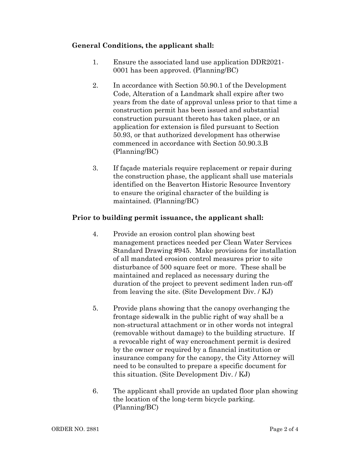## **General Conditions, the applicant shall:**

- 1. Ensure the associated land use application DDR2021- 0001 has been approved. (Planning/BC)
- 2. In accordance with Section 50.90.1 of the Development Code, Alteration of a Landmark shall expire after two years from the date of approval unless prior to that time a construction permit has been issued and substantial construction pursuant thereto has taken place, or an application for extension is filed pursuant to Section 50.93, or that authorized development has otherwise commenced in accordance with Section 50.90.3.B (Planning/BC)
- 3. If façade materials require replacement or repair during the construction phase, the applicant shall use materials identified on the Beaverton Historic Resource Inventory to ensure the original character of the building is maintained. (Planning/BC)

## **Prior to building permit issuance, the applicant shall:**

- 4. Provide an erosion control plan showing best management practices needed per Clean Water Services Standard Drawing #945. Make provisions for installation of all mandated erosion control measures prior to site disturbance of 500 square feet or more. These shall be maintained and replaced as necessary during the duration of the project to prevent sediment laden run-off from leaving the site. (Site Development Div. / KJ)
- 5. Provide plans showing that the canopy overhanging the frontage sidewalk in the public right of way shall be a non-structural attachment or in other words not integral (removable without damage) to the building structure. If a revocable right of way encroachment permit is desired by the owner or required by a financial institution or insurance company for the canopy, the City Attorney will need to be consulted to prepare a specific document for this situation. (Site Development Div. / KJ)
- 6. The applicant shall provide an updated floor plan showing the location of the long-term bicycle parking. (Planning/BC)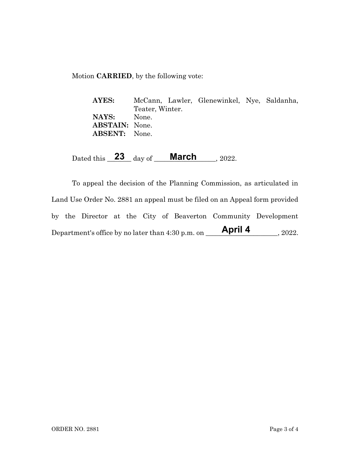Motion **CARRIED**, by the following vote:

**AYES:** McCann, Lawler, Glenewinkel, Nye, Saldanha, Teater, Winter. **NAYS:** None. **ABSTAIN:** None. **ABSENT:** None.

Dated this **23** day of **March** , 2022.

To appeal the decision of the Planning Commission, as articulated in Land Use Order No. 2881 an appeal must be filed on an Appeal form provided by the Director at the City of Beaverton Community Development Department's office by no later than  $4:30$  p.m. on  $\blacksquare$  April 4, 2022. **April 4**